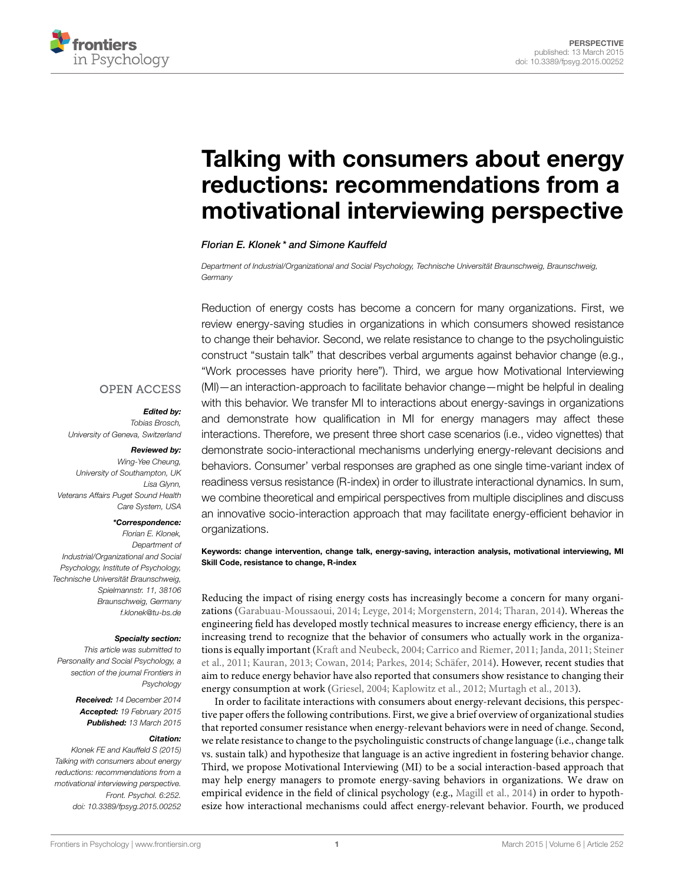

# [Talking with consumers about energy](http://www.frontiersin.org/journal/10.3389/fpsyg.2015.00252/abstract) reductions: recommendations from a motivational interviewing perspective

[Florian E. Klonek](http://community.frontiersin.org/people/u/167305) \* and Simone Kauffeld

Department of Industrial/Organizational and Social Psychology, Technische Universität Braunschweig, Braunschweig, **Germany** 

Reduction of energy costs has become a concern for many organizations. First, we review energy-saving studies in organizations in which consumers showed resistance to change their behavior. Second, we relate resistance to change to the psycholinguistic construct "sustain talk" that describes verbal arguments against behavior change (e.g., "Work processes have priority here"). Third, we argue how Motivational Interviewing (MI)—an interaction-approach to facilitate behavior change—might be helpful in dealing with this behavior. We transfer MI to interactions about energy-savings in organizations and demonstrate how qualification in MI for energy managers may affect these interactions. Therefore, we present three short case scenarios (i.e., video vignettes) that demonstrate socio-interactional mechanisms underlying energy-relevant decisions and behaviors. Consumer' verbal responses are graphed as one single time-variant index of readiness versus resistance (R-index) in order to illustrate interactional dynamics. In sum, we combine theoretical and empirical perspectives from multiple disciplines and discuss an innovative socio-interaction approach that may facilitate energy-efficient behavior in organizations.

Keywords: change intervention, change talk, energy-saving, interaction analysis, motivational interviewing, MI Skill Code, resistance to change, R-index

Reducing the impact of rising energy costs has increasingly become a concern for many organizations [\(Garabuau-Moussaoui, 2014;](#page-5-0) [Leyge, 2014;](#page-5-1) [Morgenstern, 2014;](#page-6-0) [Tharan, 2014\)](#page-6-1). Whereas the engineering field has developed mostly technical measures to increase energy efficiency, there is an increasing trend to recognize that the behavior of consumers who actually work in the organizations is equally important [\(Kraft and Neubeck, 2004;](#page-5-2) [Carrico and Riemer, 2011;](#page-5-3) [Janda, 2011;](#page-5-4) [Steiner](#page-6-6) [et al.,](#page-6-6) [2011;](#page-6-2) [Kauran, 2013;](#page-5-5) [Cowan, 2014;](#page-5-6) [Parkes, 2014;](#page-6-3) [Schäfer, 2014\)](#page-6-4). However, recent studies that aim to reduce energy behavior have also reported that consumers show resistance to changing their energy consumption at work [\(Griesel, 2004;](#page-5-7) [Kaplowitz et al., 2012;](#page-5-8) [Murtagh et al., 2013\)](#page-6-5).

In order to facilitate interactions with consumers about energy-relevant decisions, this perspective paper offers the following contributions. First, we give a brief overview of organizational studies that reported consumer resistance when energy-relevant behaviors were in need of change. Second, we relate resistance to change to the psycholinguistic constructs of change language (i.e., change talk vs. sustain talk) and hypothesize that language is an active ingredient in fostering behavior change. Third, we propose Motivational Interviewing (MI) to be a social interaction-based approach that may help energy managers to promote energy-saving behaviors in organizations. We draw on empirical evidence in the field of clinical psychology (e.g., [Magill et al., 2014\)](#page-5-9) in order to hypothesize how interactional mechanisms could affect energy-relevant behavior. Fourth, we produced

#### **OPEN ACCESS**

#### Edited by:

Tobias Brosch, University of Geneva, Switzerland

#### Reviewed by:

Wing-Yee Cheung, University of Southampton, UK Lisa Glynn, Veterans Affairs Puget Sound Health Care System, USA

#### \*Correspondence:

Florian E. Klonek, Department of Industrial/Organizational and Social Psychology, Institute of Psychology, Technische Universität Braunschweig, Spielmannstr. 11, 38106 Braunschweig, Germany [f.klonek@tu-bs.de](mailto:f.klonek@tu-bs.de)

#### Specialty section:

This article was submitted to Personality and Social Psychology, a section of the journal Frontiers in Psychology

> Received: 14 December 2014 Accepted: 19 February 2015 Published: 13 March 2015

#### Citation:

Klonek FE and Kauffeld S (2015) Talking with consumers about energy reductions: recommendations from a motivational interviewing perspective. Front. Psychol. 6:252. doi: [10.3389/fpsyg.2015.00252](http://dx.doi.org/10.3389/fpsyg.2015.00252)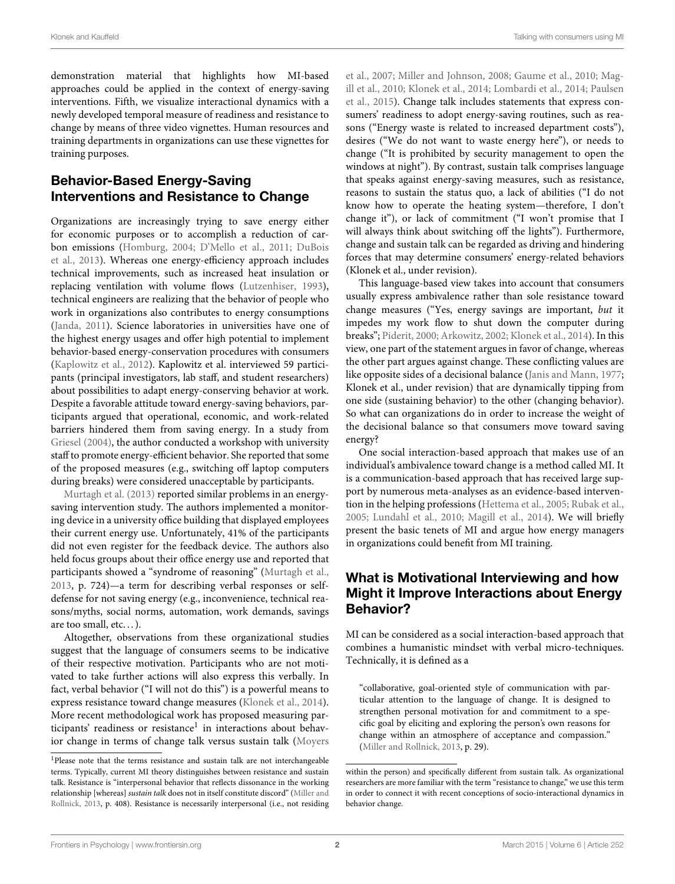demonstration material that highlights how MI-based approaches could be applied in the context of energy-saving interventions. Fifth, we visualize interactional dynamics with a newly developed temporal measure of readiness and resistance to change by means of three video vignettes. Human resources and training departments in organizations can use these vignettes for training purposes.

### Behavior-Based Energy-Saving Interventions and Resistance to Change

Organizations are increasingly trying to save energy either for economic purposes or to accomplish a reduction of carbon emissions [\(Homburg, 2004;](#page-5-10) [D'Mello et al., 2011;](#page-5-11) [DuBois](#page-5-22) [et al.](#page-5-22), [2013\)](#page-5-12). Whereas one energy-efficiency approach includes technical improvements, such as increased heat insulation or replacing ventilation with volume flows [\(Lutzenhiser, 1993\)](#page-5-13), technical engineers are realizing that the behavior of people who work in organizations also contributes to energy consumptions [\(Janda, 2011\)](#page-5-4). Science laboratories in universities have one of the highest energy usages and offer high potential to implement behavior-based energy-conservation procedures with consumers [\(Kaplowitz et al., 2012\)](#page-5-8). Kaplowitz et al. interviewed 59 participants (principal investigators, lab staff, and student researchers) about possibilities to adapt energy-conserving behavior at work. Despite a favorable attitude toward energy-saving behaviors, participants argued that operational, economic, and work-related barriers hindered them from saving energy. In a study from [Griesel \(2004\)](#page-5-7), the author conducted a workshop with university staff to promote energy-efficient behavior. She reported that some of the proposed measures (e.g., switching off laptop computers during breaks) were considered unacceptable by participants.

[Murtagh et al. \(2013\)](#page-6-5) reported similar problems in an energysaving intervention study. The authors implemented a monitoring device in a university office building that displayed employees their current energy use. Unfortunately, 41% of the participants did not even register for the feedback device. The authors also held focus groups about their office energy use and reported that participants showed a "syndrome of reasoning" [\(Murtagh et al.,](#page-6-5) [2013,](#page-6-5) p. 724)—a term for describing verbal responses or selfdefense for not saving energy (e.g., inconvenience, technical reasons/myths, social norms, automation, work demands, savings are too small, etc. . . ).

Altogether, observations from these organizational studies suggest that the language of consumers seems to be indicative of their respective motivation. Participants who are not motivated to take further actions will also express this verbally. In fact, verbal behavior ("I will not do this") is a powerful means to express resistance toward change measures [\(Klonek et al., 2014\)](#page-5-14). More recent methodological work has proposed measuring par-ticipants' readiness or resistance<sup>[1](#page-1-0)</sup> in interactions about behavior change in terms of change talk versus sustain talk [\(Moyers](#page-6-6) [et al.,](#page-6-6) [2007;](#page-6-8) [Miller and Johnson, 2008;](#page-6-9) [Gaume et al., 2010;](#page-5-15) [Mag](#page-6-6)[ill et al.,](#page-6-6) [2010;](#page-5-16) [Klonek et al., 2014;](#page-5-14) [Lombardi et al., 2014](#page-5-17)[; Paulsen](#page-6-6) [et al.,](#page-6-6) [2015\)](#page-6-10). Change talk includes statements that express consumers' readiness to adopt energy-saving routines, such as reasons ("Energy waste is related to increased department costs"), desires ("We do not want to waste energy here"), or needs to change ("It is prohibited by security management to open the windows at night"). By contrast, sustain talk comprises language that speaks against energy-saving measures, such as resistance, reasons to sustain the status quo, a lack of abilities ("I do not know how to operate the heating system—therefore, I don't change it"), or lack of commitment ("I won't promise that I will always think about switching off the lights"). Furthermore, change and sustain talk can be regarded as driving and hindering forces that may determine consumers' energy-related behaviors (Klonek et al., under revision).

This language-based view takes into account that consumers usually express ambivalence rather than sole resistance toward change measures ("Yes, energy savings are important, but it impedes my work flow to shut down the computer during breaks"; [Piderit, 2000;](#page-6-11) [Arkowitz, 2002;](#page-5-18) [Klonek et al., 2014\)](#page-5-14). In this view, one part of the statement argues in favor of change, whereas the other part argues against change. These conflicting values are like opposite sides of a decisional balance [\(Janis and Mann, 1977;](#page-5-19) Klonek et al., under revision) that are dynamically tipping from one side (sustaining behavior) to the other (changing behavior). So what can organizations do in order to increase the weight of the decisional balance so that consumers move toward saving energy?

One social interaction-based approach that makes use of an individual's ambivalence toward change is a method called MI. It is a communication-based approach that has received large support by numerous meta-analyses as an evidence-based intervention in the helping professions [\(Hettema et al., 2005;](#page-5-20) [Rubak et al.,](#page-6-12) [2005;](#page-6-12) [Lundahl et al., 2010;](#page-5-21) [Magill et al., 2014\)](#page-5-9). We will briefly present the basic tenets of MI and argue how energy managers in organizations could benefit from MI training.

### What is Motivational Interviewing and how Might it Improve Interactions about Energy Behavior?

MI can be considered as a social interaction-based approach that combines a humanistic mindset with verbal micro-techniques. Technically, it is defined as a

"collaborative, goal-oriented style of communication with particular attention to the language of change. It is designed to strengthen personal motivation for and commitment to a specific goal by eliciting and exploring the person's own reasons for change within an atmosphere of acceptance and compassion." [\(Miller and Rollnick, 2013,](#page-6-7) p. 29).

<span id="page-1-0"></span><sup>1</sup>Please note that the terms resistance and sustain talk are not interchangeable terms. Typically, current MI theory distinguishes between resistance and sustain talk. Resistance is "interpersonal behavior that reflects dissonance in the working relationship [whereas] sustain talk does not in itself constitute discord"([Miller and](#page-6-6) [Rollnick,](#page-6-6) [2013,](#page-6-7) p. 408). Resistance is necessarily interpersonal (i.e., not residing

within the person) and specifically different from sustain talk. As organizational researchers are more familiar with the term "resistance to change," we use this term in order to connect it with recent conceptions of socio-interactional dynamics in behavior change.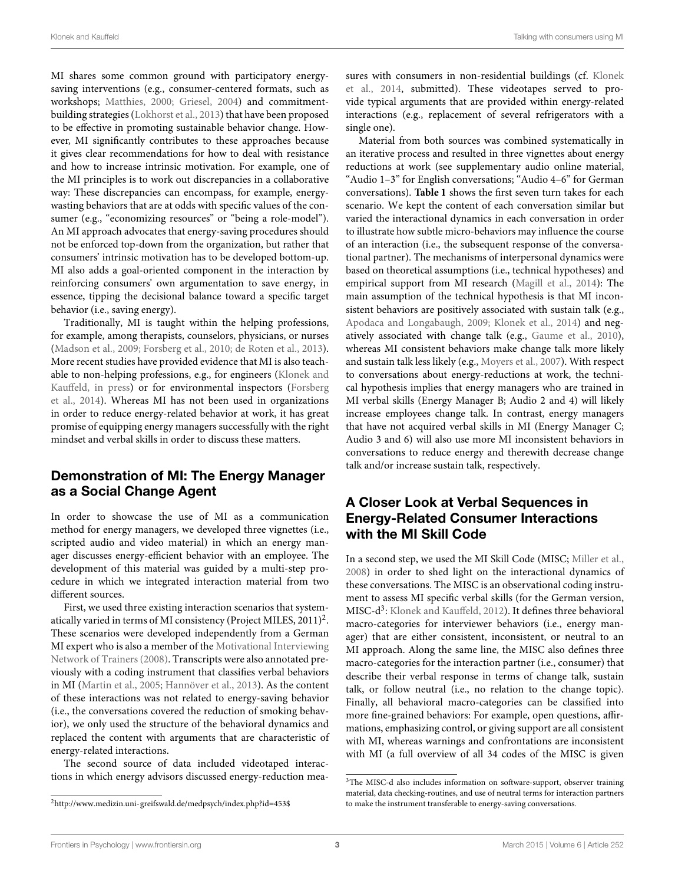MI shares some common ground with participatory energysaving interventions (e.g., consumer-centered formats, such as workshops; [Matthies, 2000;](#page-6-13) [Griesel, 2004\)](#page-5-7) and commitmentbuilding strategies [\(Lokhorst et al., 2013\)](#page-5-23) that have been proposed to be effective in promoting sustainable behavior change. However, MI significantly contributes to these approaches because it gives clear recommendations for how to deal with resistance and how to increase intrinsic motivation. For example, one of the MI principles is to work out discrepancies in a collaborative way: These discrepancies can encompass, for example, energywasting behaviors that are at odds with specific values of the consumer (e.g., "economizing resources" or "being a role-model"). An MI approach advocates that energy-saving procedures should not be enforced top-down from the organization, but rather that consumers' intrinsic motivation has to be developed bottom-up. MI also adds a goal-oriented component in the interaction by reinforcing consumers' own argumentation to save energy, in essence, tipping the decisional balance toward a specific target behavior (i.e., saving energy).

Traditionally, MI is taught within the helping professions, for example, among therapists, counselors, physicians, or nurses [\(Madson et al., 2009;](#page-5-24) [Forsberg et al., 2010;](#page-5-25) [de Roten et al., 2013\)](#page-5-26). More recent studies have provided evidence that MI is also teachable to non-helping professions, e.g., for engineers [\(Klonek and](#page-5-22) [Kauffeld,](#page-5-22) [in press\)](#page-5-27) or for environmental inspectors [\(Forsberg](#page-5-22) [et al.,](#page-5-22) [2014\)](#page-5-28). Whereas MI has not been used in organizations in order to reduce energy-related behavior at work, it has great promise of equipping energy managers successfully with the right mindset and verbal skills in order to discuss these matters.

### Demonstration of MI: The Energy Manager as a Social Change Agent

In order to showcase the use of MI as a communication method for energy managers, we developed three vignettes (i.e., scripted audio and video material) in which an energy manager discusses energy-efficient behavior with an employee. The development of this material was guided by a multi-step procedure in which we integrated interaction material from two different sources.

First, we used three existing interaction scenarios that system-atically varied in terms of MI consistency (Project MILES, [2](#page-2-0)011)<sup>2</sup>. These scenarios were developed independently from a German MI expert who is also a member of the [Motivational Interviewing](#page-6-6) [Network of Trainers](#page-6-6) [\(2008\)](#page-6-14). Transcripts were also annotated previously with a coding instrument that classifies verbal behaviors in MI [\(Martin et al., 2005;](#page-6-15) [Hannöver et al., 2013\)](#page-5-29). As the content of these interactions was not related to energy-saving behavior (i.e., the conversations covered the reduction of smoking behavior), we only used the structure of the behavioral dynamics and replaced the content with arguments that are characteristic of energy-related interactions.

The second source of data included videotaped interactions in which energy advisors discussed energy-reduction measures with consumers in non-residential buildings (cf. [Klonek](#page-5-22) [et al.](#page-5-22), [2014,](#page-5-14) submitted). These videotapes served to provide typical arguments that are provided within energy-related interactions (e.g., replacement of several refrigerators with a single one).

Material from both sources was combined systematically in an iterative process and resulted in three vignettes about energy reductions at work (see supplementary audio online material, "Audio 1–3" for English conversations; "Audio 4–6" for German conversations). **[Table 1](#page-3-0)** shows the first seven turn takes for each scenario. We kept the content of each conversation similar but varied the interactional dynamics in each conversation in order to illustrate how subtle micro-behaviors may influence the course of an interaction (i.e., the subsequent response of the conversational partner). The mechanisms of interpersonal dynamics were based on theoretical assumptions (i.e., technical hypotheses) and empirical support from MI research [\(Magill et al., 2014\)](#page-5-9): The main assumption of the technical hypothesis is that MI inconsistent behaviors are positively associated with sustain talk (e.g., [Apodaca and Longabaugh, 2009;](#page-5-30) [Klonek et al., 2014\)](#page-5-14) and negatively associated with change talk (e.g., [Gaume et al., 2010\)](#page-5-15), whereas MI consistent behaviors make change talk more likely and sustain talk less likely (e.g., [Moyers et al., 2007\)](#page-6-8). With respect to conversations about energy-reductions at work, the technical hypothesis implies that energy managers who are trained in MI verbal skills (Energy Manager B; Audio 2 and 4) will likely increase employees change talk. In contrast, energy managers that have not acquired verbal skills in MI (Energy Manager C; Audio 3 and 6) will also use more MI inconsistent behaviors in conversations to reduce energy and therewith decrease change talk and/or increase sustain talk, respectively.

#### A Closer Look at Verbal Sequences in Energy-Related Consumer Interactions with the MI Skill Code

In a second step, we used the MI Skill Code (MISC; [Miller et al.,](#page-6-16) [2008\)](#page-6-16) in order to shed light on the interactional dynamics of these conversations. The MISC is an observational coding instrument to assess MI specific verbal skills (for the German version, MISC-d<sup>[3](#page-2-1)</sup>: [Klonek and Kauffeld, 2012\)](#page-5-31). It defines three behavioral macro-categories for interviewer behaviors (i.e., energy manager) that are either consistent, inconsistent, or neutral to an MI approach. Along the same line, the MISC also defines three macro-categories for the interaction partner (i.e., consumer) that describe their verbal response in terms of change talk, sustain talk, or follow neutral (i.e., no relation to the change topic). Finally, all behavioral macro-categories can be classified into more fine-grained behaviors: For example, open questions, affirmations, emphasizing control, or giving support are all consistent with MI, whereas warnings and confrontations are inconsistent with MI (a full overview of all 34 codes of the MISC is given

<span id="page-2-0"></span><sup>2</sup>[http://www.medizin.uni-greifswald.de/medpsych/index.php?id=453\\$](http://www.medizin.uni-greifswald.de/medpsych/index.php?id=453$)

<span id="page-2-1"></span> $3$ The MISC-d also includes information on software-support, observer training material, data checking-routines, and use of neutral terms for interaction partners to make the instrument transferable to energy-saving conversations.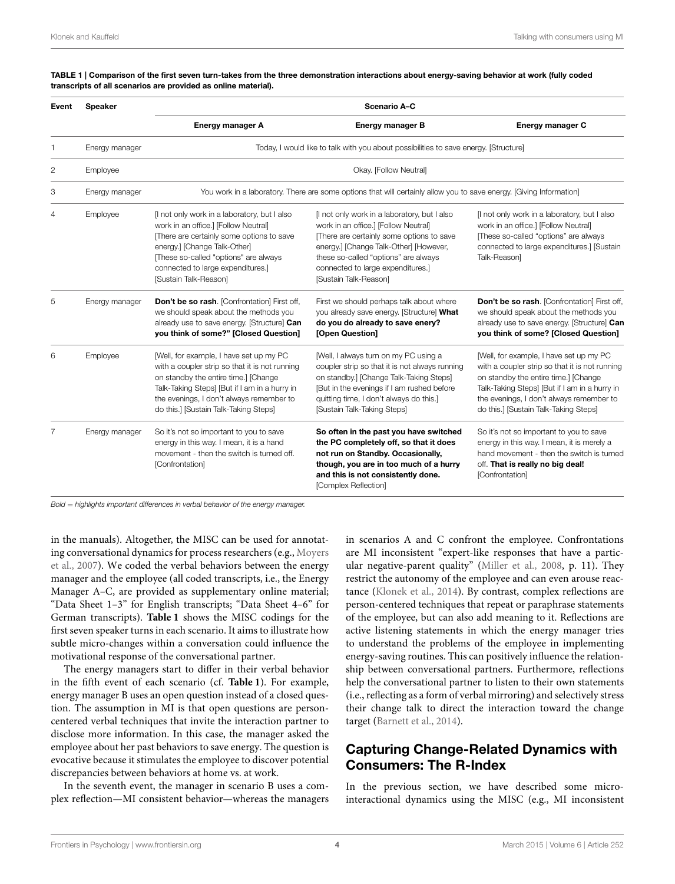| Event | <b>Speaker</b> | <b>Scenario A-C</b>                                                                                                                                                                                                                                                     |                                                                                                                                                                                                                                                                                  |                                                                                                                                                                                                                                                                         |
|-------|----------------|-------------------------------------------------------------------------------------------------------------------------------------------------------------------------------------------------------------------------------------------------------------------------|----------------------------------------------------------------------------------------------------------------------------------------------------------------------------------------------------------------------------------------------------------------------------------|-------------------------------------------------------------------------------------------------------------------------------------------------------------------------------------------------------------------------------------------------------------------------|
|       |                | Energy manager A                                                                                                                                                                                                                                                        | <b>Energy manager B</b>                                                                                                                                                                                                                                                          | Energy manager C                                                                                                                                                                                                                                                        |
|       | Energy manager | Today, I would like to talk with you about possibilities to save energy. [Structure]                                                                                                                                                                                    |                                                                                                                                                                                                                                                                                  |                                                                                                                                                                                                                                                                         |
| 2     | Employee       | Okay. [Follow Neutral]                                                                                                                                                                                                                                                  |                                                                                                                                                                                                                                                                                  |                                                                                                                                                                                                                                                                         |
| 3     | Energy manager | You work in a laboratory. There are some options that will certainly allow you to save energy. [Giving Information]                                                                                                                                                     |                                                                                                                                                                                                                                                                                  |                                                                                                                                                                                                                                                                         |
| 4     | Employee       | [I not only work in a laboratory, but I also<br>work in an office.] [Follow Neutral]<br>There are certainly some options to save<br>energy.] [Change Talk-Other]<br>[These so-called "options" are always<br>connected to large expenditures.]<br>[Sustain Talk-Reason] | [I not only work in a laboratory, but I also<br>work in an office.] [Follow Neutral]<br>There are certainly some options to save<br>energy.] [Change Talk-Other] [However,<br>these so-called "options" are always<br>connected to large expenditures.]<br>[Sustain Talk-Reason] | [I not only work in a laboratory, but I also<br>work in an office.] [Follow Neutral]<br>[These so-called "options" are always<br>connected to large expenditures.] [Sustain<br>Talk-Reason]                                                                             |
| 5     | Energy manager | Don't be so rash. [Confrontation] First off,<br>we should speak about the methods you<br>already use to save energy. [Structure] Can<br>you think of some?" [Closed Question]                                                                                           | First we should perhaps talk about where<br>you already save energy. [Structure] What<br>do you do already to save enery?<br>[Open Question]                                                                                                                                     | Don't be so rash. [Confrontation] First off,<br>we should speak about the methods you<br>already use to save energy. [Structure] Can<br>you think of some? [Closed Question]                                                                                            |
| 6     | Employee       | [Well, for example, I have set up my PC<br>with a coupler strip so that it is not running<br>on standby the entire time.] [Change<br>Talk-Taking Steps] [But if I am in a hurry in<br>the evenings, I don't always remember to<br>do this.] [Sustain Talk-Taking Steps] | [Well, I always turn on my PC using a<br>coupler strip so that it is not always running<br>on standby.] [Change Talk-Taking Steps]<br>[But in the evenings if I am rushed before<br>quitting time, I don't always do this.]<br>[Sustain Talk-Taking Steps]                       | [Well, for example, I have set up my PC<br>with a coupler strip so that it is not running<br>on standby the entire time.] [Change<br>Talk-Taking Steps] [But if I am in a hurry in<br>the evenings, I don't always remember to<br>do this.] [Sustain Talk-Taking Steps] |
| 7     | Energy manager | So it's not so important to you to save<br>energy in this way. I mean, it is a hand<br>movement - then the switch is turned off.<br>[Confrontation]                                                                                                                     | So often in the past you have switched<br>the PC completely off, so that it does<br>not run on Standby. Occasionally,<br>though, you are in too much of a hurry<br>and this is not consistently done.<br>[Complex Reflection]                                                    | So it's not so important to you to save<br>energy in this way. I mean, it is merely a<br>hand movement - then the switch is turned<br>off. That is really no big deal!<br>[Confrontation]                                                                               |

#### <span id="page-3-0"></span>TABLE 1 | Comparison of the first seven turn-takes from the three demonstration interactions about energy-saving behavior at work (fully coded transcripts of all scenarios are provided as online material).

Bold = highlights important differences in verbal behavior of the energy manager.

in the manuals). Altogether, the MISC can be used for annotating conversational dynamics for process researchers (e.g., [Moyers](#page-6-6) [et al.,](#page-6-6) [2007\)](#page-6-8). We coded the verbal behaviors between the energy manager and the employee (all coded transcripts, i.e., the Energy Manager A–C, are provided as supplementary online material; "Data Sheet 1–3" for English transcripts; "Data Sheet 4–6" for German transcripts). **[Table 1](#page-3-0)** shows the MISC codings for the first seven speaker turns in each scenario. It aims to illustrate how subtle micro-changes within a conversation could influence the motivational response of the conversational partner.

The energy managers start to differ in their verbal behavior in the fifth event of each scenario (cf. **[Table 1](#page-3-0)**). For example, energy manager B uses an open question instead of a closed question. The assumption in MI is that open questions are personcentered verbal techniques that invite the interaction partner to disclose more information. In this case, the manager asked the employee about her past behaviors to save energy. The question is evocative because it stimulates the employee to discover potential discrepancies between behaviors at home vs. at work.

In the seventh event, the manager in scenario B uses a complex reflection—MI consistent behavior—whereas the managers in scenarios A and C confront the employee. Confrontations are MI inconsistent "expert-like responses that have a particular negative-parent quality" [\(Miller et al., 2008,](#page-6-16) p. 11). They restrict the autonomy of the employee and can even arouse reactance [\(Klonek et al., 2014\)](#page-5-14). By contrast, complex reflections are person-centered techniques that repeat or paraphrase statements of the employee, but can also add meaning to it. Reflections are active listening statements in which the energy manager tries to understand the problems of the employee in implementing energy-saving routines. This can positively influence the relationship between conversational partners. Furthermore, reflections help the conversational partner to listen to their own statements (i.e., reflecting as a form of verbal mirroring) and selectively stress their change talk to direct the interaction toward the change target [\(Barnett et al., 2014\)](#page-5-32).

## Capturing Change-Related Dynamics with Consumers: The R-Index

In the previous section, we have described some microinteractional dynamics using the MISC (e.g., MI inconsistent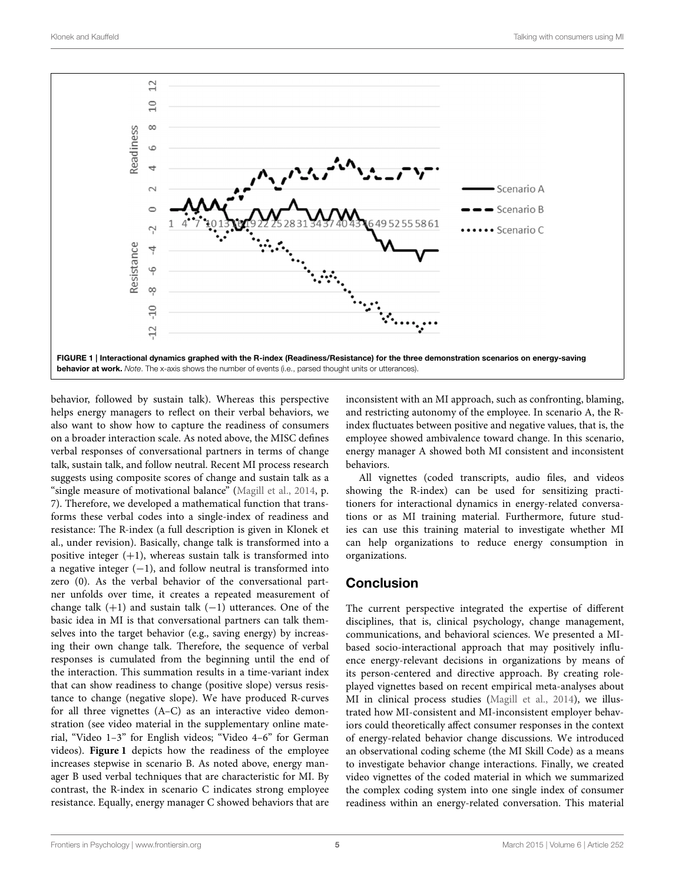

<span id="page-4-0"></span>behavior, followed by sustain talk). Whereas this perspective helps energy managers to reflect on their verbal behaviors, we also want to show how to capture the readiness of consumers on a broader interaction scale. As noted above, the MISC defines verbal responses of conversational partners in terms of change talk, sustain talk, and follow neutral. Recent MI process research suggests using composite scores of change and sustain talk as a "single measure of motivational balance" [\(Magill et al., 2014,](#page-5-9) p. 7). Therefore, we developed a mathematical function that transforms these verbal codes into a single-index of readiness and resistance: The R-index (a full description is given in Klonek et al., under revision). Basically, change talk is transformed into a positive integer  $(+1)$ , whereas sustain talk is transformed into a negative integer  $(-1)$ , and follow neutral is transformed into zero (0). As the verbal behavior of the conversational partner unfolds over time, it creates a repeated measurement of change talk  $(+1)$  and sustain talk  $(-1)$  utterances. One of the basic idea in MI is that conversational partners can talk themselves into the target behavior (e.g., saving energy) by increasing their own change talk. Therefore, the sequence of verbal responses is cumulated from the beginning until the end of the interaction. This summation results in a time-variant index that can show readiness to change (positive slope) versus resistance to change (negative slope). We have produced R-curves for all three vignettes (A–C) as an interactive video demonstration (see video material in the supplementary online material, "Video 1–3" for English videos; "Video 4–6" for German videos). **[Figure 1](#page-4-0)** depicts how the readiness of the employee increases stepwise in scenario B. As noted above, energy manager B used verbal techniques that are characteristic for MI. By contrast, the R-index in scenario C indicates strong employee resistance. Equally, energy manager C showed behaviors that are inconsistent with an MI approach, such as confronting, blaming, and restricting autonomy of the employee. In scenario A, the Rindex fluctuates between positive and negative values, that is, the employee showed ambivalence toward change. In this scenario, energy manager A showed both MI consistent and inconsistent behaviors.

All vignettes (coded transcripts, audio files, and videos showing the R-index) can be used for sensitizing practitioners for interactional dynamics in energy-related conversations or as MI training material. Furthermore, future studies can use this training material to investigate whether MI can help organizations to reduce energy consumption in organizations.

### Conclusion

The current perspective integrated the expertise of different disciplines, that is, clinical psychology, change management, communications, and behavioral sciences. We presented a MIbased socio-interactional approach that may positively influence energy-relevant decisions in organizations by means of its person-centered and directive approach. By creating roleplayed vignettes based on recent empirical meta-analyses about MI in clinical process studies [\(Magill et al., 2014\)](#page-5-9), we illustrated how MI-consistent and MI-inconsistent employer behaviors could theoretically affect consumer responses in the context of energy-related behavior change discussions. We introduced an observational coding scheme (the MI Skill Code) as a means to investigate behavior change interactions. Finally, we created video vignettes of the coded material in which we summarized the complex coding system into one single index of consumer readiness within an energy-related conversation. This material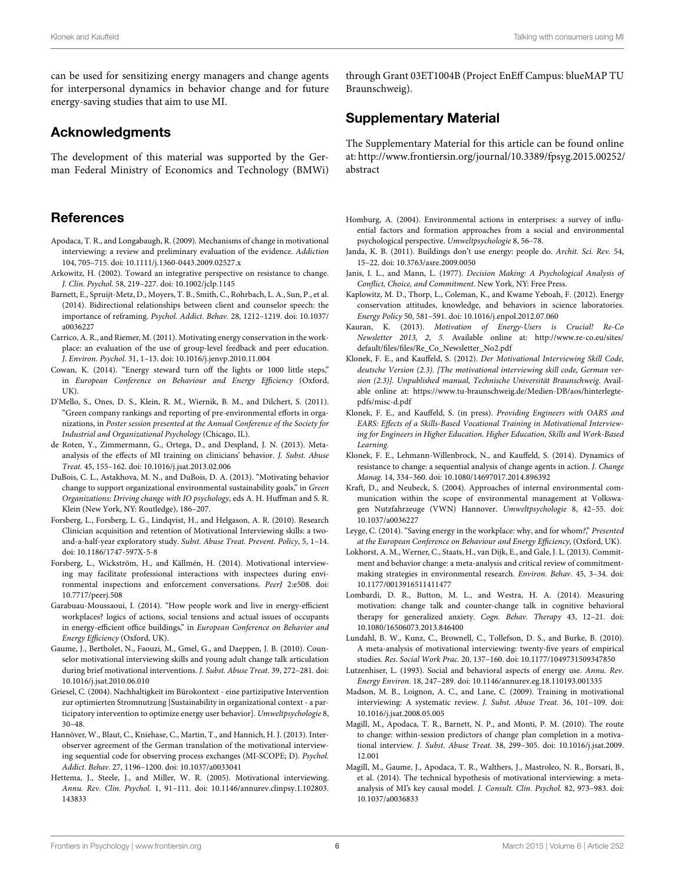<span id="page-5-22"></span>can be used for sensitizing energy managers and change agents for interpersonal dynamics in behavior change and for future energy-saving studies that aim to use MI.

### Acknowledgments

The development of this material was supported by the German Federal Ministry of Economics and Technology (BMWi)

#### References

- <span id="page-5-30"></span>Apodaca, T. R., and Longabaugh, R. (2009). Mechanisms of change in motivational interviewing: a review and preliminary evaluation of the evidence. Addiction 104, 705–715. doi: 10.1111/j.1360-0443.2009.02527.x
- <span id="page-5-18"></span>Arkowitz, H. (2002). Toward an integrative perspective on resistance to change. J. Clin. Psychol. 58, 219–227. doi: 10.1002/jclp.1145
- <span id="page-5-32"></span>Barnett, E., Spruijt-Metz, D., Moyers, T. B., Smith, C., Rohrbach, L. A., Sun, P., et al. (2014). Bidirectional relationships between client and counselor speech: the importance of reframing. Psychol. Addict. Behav. 28, 1212–1219. doi: 10.1037/ a0036227
- <span id="page-5-3"></span>Carrico, A. R., and Riemer, M. (2011). Motivating energy conservation in the workplace: an evaluation of the use of group-level feedback and peer education. J. Environ. Psychol. 31, 1–13. doi: 10.1016/j.jenvp.2010.11.004
- <span id="page-5-6"></span>Cowan, K. (2014). "Energy steward turn off the lights or 1000 little steps," in European Conference on Behaviour and Energy Efficiency (Oxford, UK).
- <span id="page-5-11"></span>D'Mello, S., Ones, D. S., Klein, R. M., Wiernik, B. M., and Dilchert, S. (2011). "Green company rankings and reporting of pre-environmental efforts in organizations, in Poster session presented at the Annual Conference of the Society for Industrial and Organizational Psychology (Chicago, IL).
- <span id="page-5-26"></span>de Roten, Y., Zimmermann, G., Ortega, D., and Despland, J. N. (2013). Metaanalysis of the effects of MI training on clinicians' behavior. J. Subst. Abuse Treat. 45, 155–162. doi: 10.1016/j.jsat.2013.02.006
- <span id="page-5-12"></span>DuBois, C. L., Astakhova, M. N., and DuBois, D. A. (2013). "Motivating behavior change to support organizational environmental sustainability goals," in Green Organizations: Driving change with IO psychology, eds A. H. Huffman and S. R. Klein (New York, NY: Routledge), 186–207.
- <span id="page-5-25"></span>Forsberg, L., Forsberg, L. G., Lindqvist, H., and Helgason, A. R. (2010). Research Clinician acquisition and retention of Motivational Interviewing skills: a twoand-a-half-year exploratory study. Subst. Abuse Treat. Prevent. Policy, 5, 1–14. doi: 10.1186/1747-597X-5-8
- <span id="page-5-28"></span>Forsberg, L., Wickström, H., and Källmén, H. (2014). Motivational interviewing may facilitate professional interactions with inspectees during environmental inspections and enforcement conversations. PeerJ 2:e508. doi: 10.7717/peerj.508
- <span id="page-5-0"></span>Garabuau-Moussaoui, I. (2014). "How people work and live in energy-efficient workplaces? logics of actions, social tensions and actual issues of occupants in energy-efficient office buildings," in European Conference on Behavior and Energy Efficiency (Oxford, UK).
- <span id="page-5-15"></span>Gaume, J., Bertholet, N., Faouzi, M., Gmel, G., and Daeppen, J. B. (2010). Counselor motivational interviewing skills and young adult change talk articulation during brief motivational interventions. J. Subst. Abuse Treat. 39, 272–281. doi: 10.1016/j.jsat.2010.06.010
- <span id="page-5-7"></span>Griesel, C. (2004). Nachhaltigkeit im Bürokontext - eine partizipative Intervention zur optimierten Stromnutzung [Sustainability in organizational context - a participatory intervention to optimize energy user behavior]. Umweltpsychologie 8, 30–48.
- <span id="page-5-29"></span>Hannöver, W., Blaut, C., Kniehase, C., Martin, T., and Hannich, H. J. (2013). Interobserver agreement of the German translation of the motivational interviewing sequential code for observing process exchanges (MI-SCOPE; D). Psychol. Addict. Behav. 27, 1196–1200. doi: 10.1037/a0033041
- <span id="page-5-20"></span>Hettema, J., Steele, J., and Miller, W. R. (2005). Motivational interviewing. Annu. Rev. Clin. Psychol. 1, 91–111. doi: 10.1146/annurev.clinpsy.1.102803. 143833

through Grant 03ET1004B (Project EnEff Campus: blueMAP TU Braunschweig).

### Supplementary Material

The Supplementary Material for this article can be found online at: [http://www.frontiersin.org/journal/10.3389/fpsyg.2015.00252/](http://www.frontiersin.org/journal/10.3389/fpsyg.2015.00252/abstract) [abstract](http://www.frontiersin.org/journal/10.3389/fpsyg.2015.00252/abstract)

- <span id="page-5-10"></span>Homburg, A. (2004). Environmental actions in enterprises: a survey of influential factors and formation approaches from a social and environmental psychological perspective. Umweltpsychologie 8, 56–78.
- <span id="page-5-4"></span>Janda, K. B. (2011). Buildings don't use energy: people do. Archit. Sci. Rev. 54, 15–22. doi: 10.3763/asre.2009.0050
- <span id="page-5-19"></span>Janis, I. L., and Mann, L. (1977). Decision Making: A Psychological Analysis of Conflict, Choice, and Commitment. New York, NY: Free Press.
- <span id="page-5-8"></span>Kaplowitz, M. D., Thorp, L., Coleman, K., and Kwame Yeboah, F. (2012). Energy conservation attitudes, knowledge, and behaviors in science laboratories. Energy Policy 50, 581–591. doi: 10.1016/j.enpol.2012.07.060
- <span id="page-5-5"></span>Kauran, K. (2013). Motivation of Energy-Users is Crucial! Re-Co Newsletter 2013, 2, 5. Available online at: [http://www.re-co.eu/sites/](http://www.re-co.eu/sites/default/files/files/Re_Co_Newsletter_No2.pdf) [default/files/files/Re\\_Co\\_Newsletter\\_No2.pdf](http://www.re-co.eu/sites/default/files/files/Re_Co_Newsletter_No2.pdf)
- <span id="page-5-31"></span>Klonek, F. E., and Kauffeld, S. (2012). Der Motivational Interviewing Skill Code, deutsche Version (2.3). [The motivational interviewing skill code, German version (2.3)]. Unpublished manual, Technische Universität Braunschweig. Available online at: [https://www.tu-braunschweig.de/Medien-DB/aos/hinterlegte](https://www.tu-braunschweig.de/Medien-DB/aos/hinterlegte-pdfs/misc-d.pdf)[pdfs/misc-d.pdf](https://www.tu-braunschweig.de/Medien-DB/aos/hinterlegte-pdfs/misc-d.pdf)
- <span id="page-5-27"></span>Klonek, F. E., and Kauffeld, S. (in press). Providing Engineers with OARS and EARS: Effects of a Skills-Based Vocational Training in Motivational Interviewing for Engineers in Higher Education. Higher Education, Skills and Work-Based Learning.
- <span id="page-5-14"></span>Klonek, F. E., Lehmann-Willenbrock, N., and Kauffeld, S. (2014). Dynamics of resistance to change: a sequential analysis of change agents in action. J. Change Manag. 14, 334–360. doi: 10.1080/14697017.2014.896392
- <span id="page-5-2"></span>Kraft, D., and Neubeck, S. (2004). Approaches of internal environmental communication within the scope of environmental management at Volkswagen Nutzfahrzeuge (VWN) Hannover. Umweltpsychologie 8, 42–55. doi: 10.1037/a0036227
- <span id="page-5-1"></span>Leyge, C. (2014). "Saving energy in the workplace: why, and for whom?," Presented at the European Conference on Behaviour and Energy Efficiency, (Oxford, UK).
- <span id="page-5-23"></span>Lokhorst, A. M., Werner, C., Staats, H., van Dijk, E., and Gale, J. L. (2013). Commitment and behavior change: a meta-analysis and critical review of commitmentmaking strategies in environmental research. Environ. Behav. 45, 3–34. doi: 10.1177/0013916511411477
- <span id="page-5-17"></span>Lombardi, D. R., Button, M. L., and Westra, H. A. (2014). Measuring motivation: change talk and counter-change talk in cognitive behavioral therapy for generalized anxiety. Cogn. Behav. Therapy 43, 12–21. doi: 10.1080/16506073.2013.846400
- <span id="page-5-21"></span>Lundahl, B. W., Kunz, C., Brownell, C., Tollefson, D. S., and Burke, B. (2010). A meta-analysis of motivational interviewing: twenty-five years of empirical studies. Res. Social Work Prac. 20, 137–160. doi: 10.1177/1049731509347850
- <span id="page-5-13"></span>Lutzenhiser, L. (1993). Social and behavioral aspects of energy use. Annu. Rev. Energy Environ. 18, 247–289. doi: 10.1146/annurev.eg.18.110193.001335
- <span id="page-5-24"></span>Madson, M. B., Loignon, A. C., and Lane, C. (2009). Training in motivational interviewing: A systematic review. J. Subst. Abuse Treat. 36, 101–109. doi: 10.1016/j.jsat.2008.05.005
- <span id="page-5-16"></span>Magill, M., Apodaca, T. R., Barnett, N. P., and Monti, P. M. (2010). The route to change: within-session predictors of change plan completion in a motivational interview. J. Subst. Abuse Treat. 38, 299–305. doi: 10.1016/j.jsat.2009. 12.001
- <span id="page-5-9"></span>Magill, M., Gaume, J., Apodaca, T. R., Walthers, J., Mastroleo, N. R., Borsari, B., et al. (2014). The technical hypothesis of motivational interviewing: a metaanalysis of MI's key causal model. J. Consult. Clin. Psychol. 82, 973–983. doi: 10.1037/a0036833